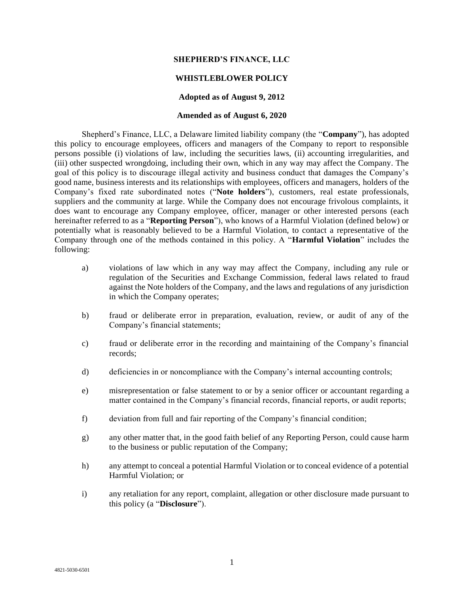## **SHEPHERD'S FINANCE, LLC**

## **WHISTLEBLOWER POLICY**

#### **Adopted as of August 9, 2012**

#### **Amended as of August 6, 2020**

Shepherd's Finance, LLC, a Delaware limited liability company (the "**Company**"), has adopted this policy to encourage employees, officers and managers of the Company to report to responsible persons possible (i) violations of law, including the securities laws, (ii) accounting irregularities, and (iii) other suspected wrongdoing, including their own, which in any way may affect the Company. The goal of this policy is to discourage illegal activity and business conduct that damages the Company's good name, business interests and its relationships with employees, officers and managers, holders of the Company's fixed rate subordinated notes ("**Note holders**"), customers, real estate professionals, suppliers and the community at large. While the Company does not encourage frivolous complaints, it does want to encourage any Company employee, officer, manager or other interested persons (each hereinafter referred to as a "**Reporting Person**"), who knows of a Harmful Violation (defined below) or potentially what is reasonably believed to be a Harmful Violation, to contact a representative of the Company through one of the methods contained in this policy. A "**Harmful Violation**" includes the following:

- a) violations of law which in any way may affect the Company, including any rule or regulation of the Securities and Exchange Commission, federal laws related to fraud against the Note holders of the Company, and the laws and regulations of any jurisdiction in which the Company operates;
- b) fraud or deliberate error in preparation, evaluation, review, or audit of any of the Company's financial statements;
- c) fraud or deliberate error in the recording and maintaining of the Company's financial records;
- d) deficiencies in or noncompliance with the Company's internal accounting controls;
- e) misrepresentation or false statement to or by a senior officer or accountant regarding a matter contained in the Company's financial records, financial reports, or audit reports;
- f) deviation from full and fair reporting of the Company's financial condition;
- g) any other matter that, in the good faith belief of any Reporting Person, could cause harm to the business or public reputation of the Company;
- h) any attempt to conceal a potential Harmful Violation or to conceal evidence of a potential Harmful Violation; or
- i) any retaliation for any report, complaint, allegation or other disclosure made pursuant to this policy (a "**Disclosure**").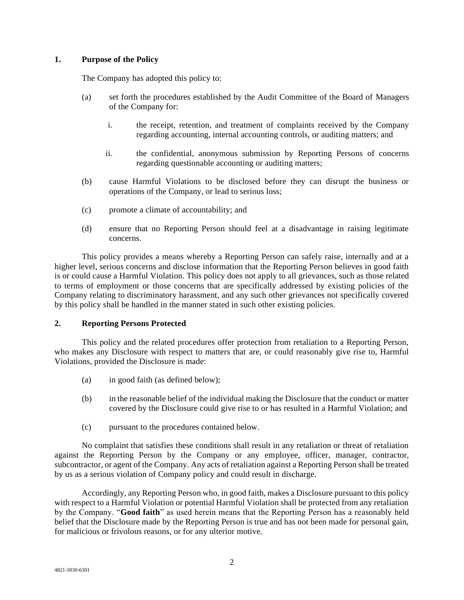## **1. Purpose of the Policy**

The Company has adopted this policy to:

- (a) set forth the procedures established by the Audit Committee of the Board of Managers of the Company for:
	- i. the receipt, retention, and treatment of complaints received by the Company regarding accounting, internal accounting controls, or auditing matters; and
	- ii. the confidential, anonymous submission by Reporting Persons of concerns regarding questionable accounting or auditing matters;
- (b) cause Harmful Violations to be disclosed before they can disrupt the business or operations of the Company, or lead to serious loss;
- (c) promote a climate of accountability; and
- (d) ensure that no Reporting Person should feel at a disadvantage in raising legitimate concerns.

This policy provides a means whereby a Reporting Person can safely raise, internally and at a higher level, serious concerns and disclose information that the Reporting Person believes in good faith is or could cause a Harmful Violation. This policy does not apply to all grievances, such as those related to terms of employment or those concerns that are specifically addressed by existing policies of the Company relating to discriminatory harassment, and any such other grievances not specifically covered by this policy shall be handled in the manner stated in such other existing policies.

## **2. Reporting Persons Protected**

This policy and the related procedures offer protection from retaliation to a Reporting Person, who makes any Disclosure with respect to matters that are, or could reasonably give rise to, Harmful Violations, provided the Disclosure is made:

- (a) in good faith (as defined below);
- (b) in the reasonable belief of the individual making the Disclosure that the conduct or matter covered by the Disclosure could give rise to or has resulted in a Harmful Violation; and
- (c) pursuant to the procedures contained below.

No complaint that satisfies these conditions shall result in any retaliation or threat of retaliation against the Reporting Person by the Company or any employee, officer, manager, contractor, subcontractor, or agent of the Company. Any acts of retaliation against a Reporting Person shall be treated by us as a serious violation of Company policy and could result in discharge.

Accordingly, any Reporting Person who, in good faith, makes a Disclosure pursuant to this policy with respect to a Harmful Violation or potential Harmful Violation shall be protected from any retaliation by the Company. "**Good faith**" as used herein means that the Reporting Person has a reasonably held belief that the Disclosure made by the Reporting Person is true and has not been made for personal gain, for malicious or frivolous reasons, or for any ulterior motive.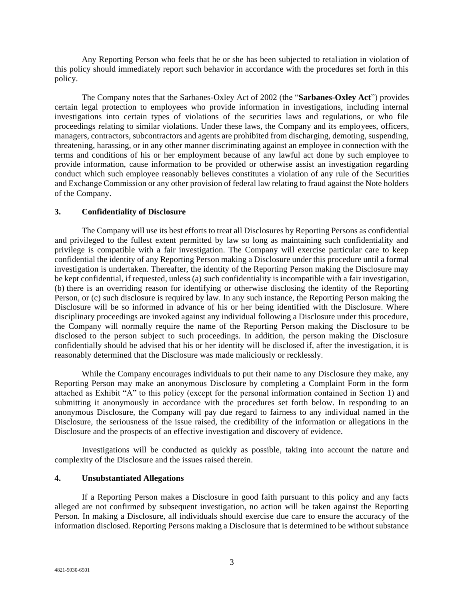Any Reporting Person who feels that he or she has been subjected to retaliation in violation of this policy should immediately report such behavior in accordance with the procedures set forth in this policy.

The Company notes that the Sarbanes-Oxley Act of 2002 (the "**Sarbanes-Oxley Act**") provides certain legal protection to employees who provide information in investigations, including internal investigations into certain types of violations of the securities laws and regulations, or who file proceedings relating to similar violations. Under these laws, the Company and its employees, officers, managers, contractors, subcontractors and agents are prohibited from discharging, demoting, suspending, threatening, harassing, or in any other manner discriminating against an employee in connection with the terms and conditions of his or her employment because of any lawful act done by such employee to provide information, cause information to be provided or otherwise assist an investigation regarding conduct which such employee reasonably believes constitutes a violation of any rule of the Securities and Exchange Commission or any other provision of federal law relating to fraud against the Note holders of the Company.

## **3. Confidentiality of Disclosure**

The Company will use its best efforts to treat all Disclosures by Reporting Persons as confidential and privileged to the fullest extent permitted by law so long as maintaining such confidentiality and privilege is compatible with a fair investigation. The Company will exercise particular care to keep confidential the identity of any Reporting Person making a Disclosure under this procedure until a formal investigation is undertaken. Thereafter, the identity of the Reporting Person making the Disclosure may be kept confidential, if requested, unless (a) such confidentiality is incompatible with a fair investigation, (b) there is an overriding reason for identifying or otherwise disclosing the identity of the Reporting Person, or (c) such disclosure is required by law. In any such instance, the Reporting Person making the Disclosure will be so informed in advance of his or her being identified with the Disclosure. Where disciplinary proceedings are invoked against any individual following a Disclosure under this procedure, the Company will normally require the name of the Reporting Person making the Disclosure to be disclosed to the person subject to such proceedings. In addition, the person making the Disclosure confidentially should be advised that his or her identity will be disclosed if, after the investigation, it is reasonably determined that the Disclosure was made maliciously or recklessly.

While the Company encourages individuals to put their name to any Disclosure they make, any Reporting Person may make an anonymous Disclosure by completing a Complaint Form in the form attached as Exhibit "A" to this policy (except for the personal information contained in Section 1) and submitting it anonymously in accordance with the procedures set forth below. In responding to an anonymous Disclosure, the Company will pay due regard to fairness to any individual named in the Disclosure, the seriousness of the issue raised, the credibility of the information or allegations in the Disclosure and the prospects of an effective investigation and discovery of evidence.

Investigations will be conducted as quickly as possible, taking into account the nature and complexity of the Disclosure and the issues raised therein.

## **4. Unsubstantiated Allegations**

If a Reporting Person makes a Disclosure in good faith pursuant to this policy and any facts alleged are not confirmed by subsequent investigation, no action will be taken against the Reporting Person. In making a Disclosure, all individuals should exercise due care to ensure the accuracy of the information disclosed. Reporting Persons making a Disclosure that is determined to be without substance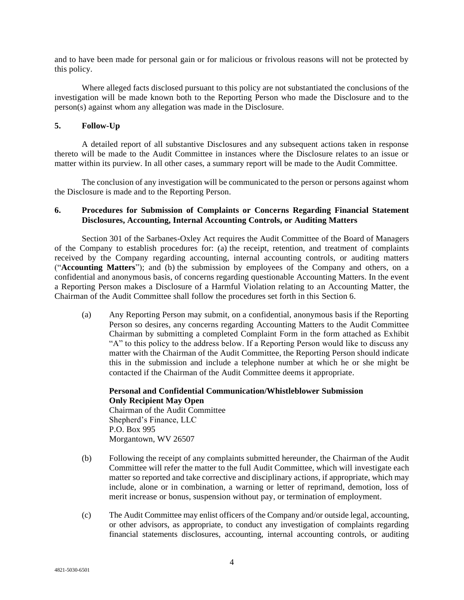and to have been made for personal gain or for malicious or frivolous reasons will not be protected by this policy.

Where alleged facts disclosed pursuant to this policy are not substantiated the conclusions of the investigation will be made known both to the Reporting Person who made the Disclosure and to the person(s) against whom any allegation was made in the Disclosure.

## **5. Follow-Up**

A detailed report of all substantive Disclosures and any subsequent actions taken in response thereto will be made to the Audit Committee in instances where the Disclosure relates to an issue or matter within its purview. In all other cases, a summary report will be made to the Audit Committee.

The conclusion of any investigation will be communicated to the person or persons against whom the Disclosure is made and to the Reporting Person.

## **6. Procedures for Submission of Complaints or Concerns Regarding Financial Statement Disclosures, Accounting, Internal Accounting Controls, or Auditing Matters**

Section 301 of the Sarbanes-Oxley Act requires the Audit Committee of the Board of Managers of the Company to establish procedures for: (a) the receipt, retention, and treatment of complaints received by the Company regarding accounting, internal accounting controls, or auditing matters ("**Accounting Matters**"); and (b) the submission by employees of the Company and others, on a confidential and anonymous basis, of concerns regarding questionable Accounting Matters. In the event a Reporting Person makes a Disclosure of a Harmful Violation relating to an Accounting Matter, the Chairman of the Audit Committee shall follow the procedures set forth in this Section 6.

(a) Any Reporting Person may submit, on a confidential, anonymous basis if the Reporting Person so desires, any concerns regarding Accounting Matters to the Audit Committee Chairman by submitting a completed Complaint Form in the form attached as Exhibit "A" to this policy to the address below. If a Reporting Person would like to discuss any matter with the Chairman of the Audit Committee, the Reporting Person should indicate this in the submission and include a telephone number at which he or she might be contacted if the Chairman of the Audit Committee deems it appropriate.

# **Personal and Confidential Communication/Whistleblower Submission Only Recipient May Open**

Chairman of the Audit Committee Shepherd's Finance, LLC P.O. Box 995 Morgantown, WV 26507

- (b) Following the receipt of any complaints submitted hereunder, the Chairman of the Audit Committee will refer the matter to the full Audit Committee, which will investigate each matter so reported and take corrective and disciplinary actions, if appropriate, which may include, alone or in combination, a warning or letter of reprimand, demotion, loss of merit increase or bonus, suspension without pay, or termination of employment.
- (c) The Audit Committee may enlist officers of the Company and/or outside legal, accounting, or other advisors, as appropriate, to conduct any investigation of complaints regarding financial statements disclosures, accounting, internal accounting controls, or auditing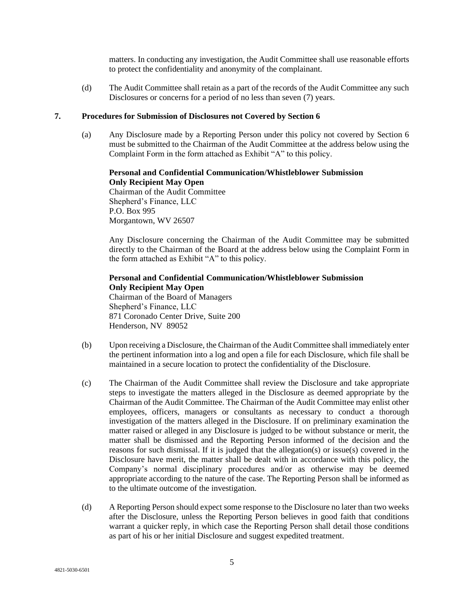matters. In conducting any investigation, the Audit Committee shall use reasonable efforts to protect the confidentiality and anonymity of the complainant.

(d) The Audit Committee shall retain as a part of the records of the Audit Committee any such Disclosures or concerns for a period of no less than seven (7) years.

## **7. Procedures for Submission of Disclosures not Covered by Section 6**

(a) Any Disclosure made by a Reporting Person under this policy not covered by Section 6 must be submitted to the Chairman of the Audit Committee at the address below using the Complaint Form in the form attached as Exhibit "A" to this policy.

## **Personal and Confidential Communication/Whistleblower Submission Only Recipient May Open** Chairman of the Audit Committee Shepherd's Finance, LLC P.O. Box 995 Morgantown, WV 26507

Any Disclosure concerning the Chairman of the Audit Committee may be submitted directly to the Chairman of the Board at the address below using the Complaint Form in the form attached as Exhibit "A" to this policy.

## **Personal and Confidential Communication/Whistleblower Submission Only Recipient May Open** Chairman of the Board of Managers

Shepherd's Finance, LLC 871 Coronado Center Drive, Suite 200 Henderson, NV 89052

- (b) Upon receiving a Disclosure, the Chairman of the Audit Committee shall immediately enter the pertinent information into a log and open a file for each Disclosure, which file shall be maintained in a secure location to protect the confidentiality of the Disclosure.
- (c) The Chairman of the Audit Committee shall review the Disclosure and take appropriate steps to investigate the matters alleged in the Disclosure as deemed appropriate by the Chairman of the Audit Committee. The Chairman of the Audit Committee may enlist other employees, officers, managers or consultants as necessary to conduct a thorough investigation of the matters alleged in the Disclosure. If on preliminary examination the matter raised or alleged in any Disclosure is judged to be without substance or merit, the matter shall be dismissed and the Reporting Person informed of the decision and the reasons for such dismissal. If it is judged that the allegation(s) or issue(s) covered in the Disclosure have merit, the matter shall be dealt with in accordance with this policy, the Company's normal disciplinary procedures and/or as otherwise may be deemed appropriate according to the nature of the case. The Reporting Person shall be informed as to the ultimate outcome of the investigation.
- (d) A Reporting Person should expect some response to the Disclosure no later than two weeks after the Disclosure, unless the Reporting Person believes in good faith that conditions warrant a quicker reply, in which case the Reporting Person shall detail those conditions as part of his or her initial Disclosure and suggest expedited treatment.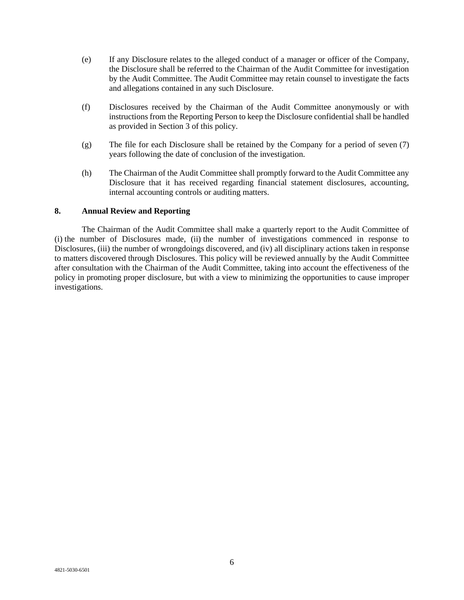- (e) If any Disclosure relates to the alleged conduct of a manager or officer of the Company, the Disclosure shall be referred to the Chairman of the Audit Committee for investigation by the Audit Committee. The Audit Committee may retain counsel to investigate the facts and allegations contained in any such Disclosure.
- (f) Disclosures received by the Chairman of the Audit Committee anonymously or with instructions from the Reporting Person to keep the Disclosure confidential shall be handled as provided in Section 3 of this policy.
- (g) The file for each Disclosure shall be retained by the Company for a period of seven (7) years following the date of conclusion of the investigation.
- (h) The Chairman of the Audit Committee shall promptly forward to the Audit Committee any Disclosure that it has received regarding financial statement disclosures, accounting, internal accounting controls or auditing matters.

## **8. Annual Review and Reporting**

The Chairman of the Audit Committee shall make a quarterly report to the Audit Committee of (i) the number of Disclosures made, (ii) the number of investigations commenced in response to Disclosures, (iii) the number of wrongdoings discovered, and (iv) all disciplinary actions taken in response to matters discovered through Disclosures. This policy will be reviewed annually by the Audit Committee after consultation with the Chairman of the Audit Committee, taking into account the effectiveness of the policy in promoting proper disclosure, but with a view to minimizing the opportunities to cause improper investigations.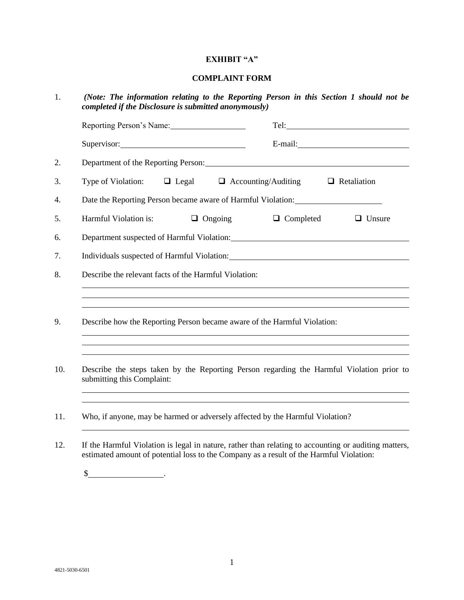## **EXHIBIT "A"**

#### **COMPLAINT FORM**

1. *(Note: The information relating to the Reporting Person in this Section 1 should not be completed if the Disclosure is submitted anonymously)*

| Reporting Person's Name: 1997                                                                                                                                                                                                  |                |                                                                                   |               |
|--------------------------------------------------------------------------------------------------------------------------------------------------------------------------------------------------------------------------------|----------------|-----------------------------------------------------------------------------------|---------------|
| Supervisor: 2000 Contract Contract Contract Contract Contract Contract Contract Contract Contract Contract Contract Contract Contract Contract Contract Contract Contract Contract Contract Contract Contract Contract Contrac |                |                                                                                   |               |
| Department of the Reporting Person:                                                                                                                                                                                            |                |                                                                                   |               |
| Type of Violation: $\Box$ Legal $\Box$ Accounting/Auditing $\Box$ Retaliation                                                                                                                                                  |                |                                                                                   |               |
| Date the Reporting Person became aware of Harmful Violation:                                                                                                                                                                   |                |                                                                                   |               |
| Harmful Violation is:                                                                                                                                                                                                          | $\Box$ Ongoing | $\Box$ Completed                                                                  | $\Box$ Unsure |
| Department suspected of Harmful Violation: Manual Manual Manual Manual Manual Manual Manual Manual Manual Manua                                                                                                                |                |                                                                                   |               |
| Individuals suspected of Harmful Violation: University of the Contract of Harmful Violation:                                                                                                                                   |                |                                                                                   |               |
| Describe the relevant facts of the Harmful Violation:                                                                                                                                                                          |                |                                                                                   |               |
|                                                                                                                                                                                                                                |                | ,我们也不会有什么。""我们的人,我们也不会有什么?""我们的人,我们也不会有什么?""我们的人,我们也不会有什么?""我们的人,我们也不会有什么?""我们的人  |               |
| Describe how the Reporting Person became aware of the Harmful Violation:                                                                                                                                                       |                |                                                                                   |               |
| Describe the steps taken by the Reporting Person regarding the Harmful Violation prior to<br>submitting this Complaint:                                                                                                        |                | ,我们也不能会有一个人的事情。""我们的人们是不是我们的人,我们也不能会有一个人的人,我们也不能会有一个人的人,我们也不能会有一个人的人,我们也不能会有一个人的人 |               |
| Who, if anyone, may be harmed or adversely affected by the Harmful Violation?                                                                                                                                                  |                |                                                                                   |               |
| If the Harmful Violation is legal in nature, rather than relating to accounting or auditing matters                                                                                                                            |                |                                                                                   |               |

12. If the Harmful Violation is legal in nature, rather than relating to accounting or auditing matters, estimated amount of potential loss to the Company as a result of the Harmful Violation:

 $\frac{1}{2}$  .